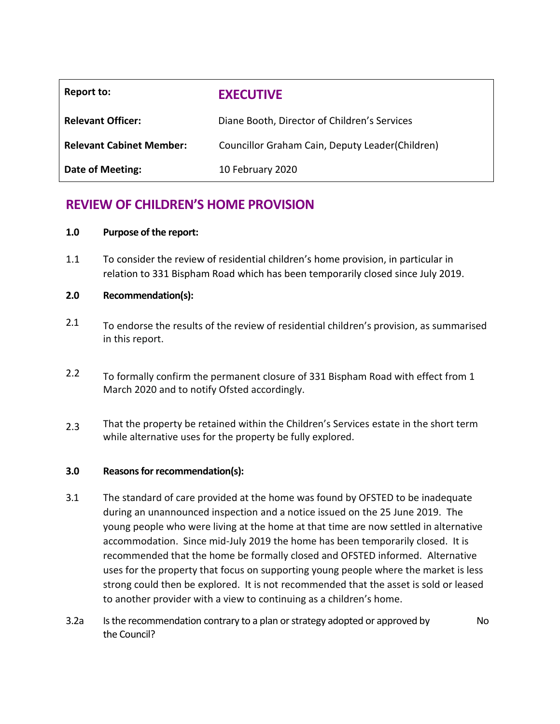| Report to:                      | <b>EXECUTIVE</b>                                 |
|---------------------------------|--------------------------------------------------|
| <b>Relevant Officer:</b>        | Diane Booth, Director of Children's Services     |
| <b>Relevant Cabinet Member:</b> | Councillor Graham Cain, Deputy Leader (Children) |
| Date of Meeting:                | 10 February 2020                                 |

# **REVIEW OF CHILDREN'S HOME PROVISION**

#### **1.0 Purpose of the report:**

1.1 To consider the review of residential children's home provision, in particular in relation to 331 Bispham Road which has been temporarily closed since July 2019.

#### **2.0 Recommendation(s):**

- 2.1 To endorse the results of the review of residential children's provision, as summarised in this report.
- 2.2 To formally confirm the permanent closure of 331 Bispham Road with effect from 1 March 2020 and to notify Ofsted accordingly.
- 2.3 That the property be retained within the Children's Services estate in the short term while alternative uses for the property be fully explored.

#### **3.0 Reasons for recommendation(s):**

- 3.1 The standard of care provided at the home was found by OFSTED to be inadequate during an unannounced inspection and a notice issued on the 25 June 2019. The young people who were living at the home at that time are now settled in alternative accommodation. Since mid-July 2019 the home has been temporarily closed. It is recommended that the home be formally closed and OFSTED informed. Alternative uses for the property that focus on supporting young people where the market is less strong could then be explored. It is not recommended that the asset is sold or leased to another provider with a view to continuing as a children's home.
- 3.2a Is the recommendation contrary to a plan or strategy adopted or approved by the Council? No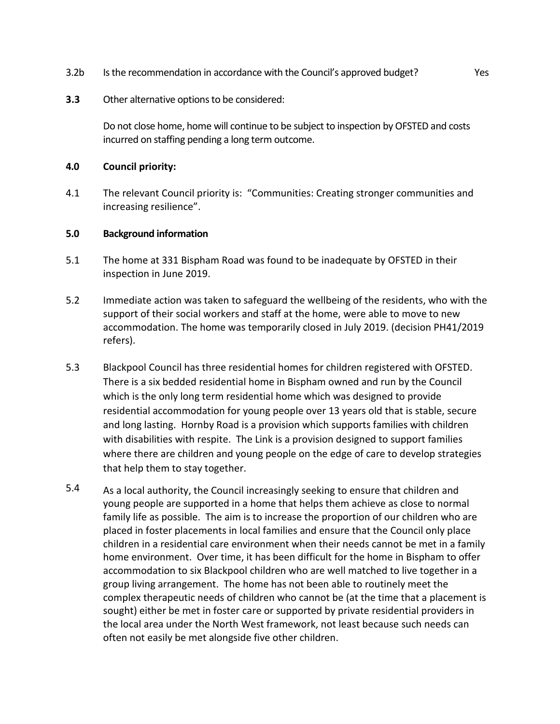- 3.2b Is the recommendation in accordance with the Council's approved budget? Yes
- **3.3** Other alternative options to be considered:

Do not close home, home will continue to be subject to inspection by OFSTED and costs incurred on staffing pending a long term outcome.

#### **4.0 Council priority:**

4.1 The relevant Council priority is: "Communities: Creating stronger communities and increasing resilience".

#### **5.0 Background information**

- 5.1 The home at 331 Bispham Road was found to be inadequate by OFSTED in their inspection in June 2019.
- 5.2 Immediate action was taken to safeguard the wellbeing of the residents, who with the support of their social workers and staff at the home, were able to move to new accommodation. The home was temporarily closed in July 2019. (decision PH41/2019 refers).
- 5.3 Blackpool Council has three residential homes for children registered with OFSTED. There is a six bedded residential home in Bispham owned and run by the Council which is the only long term residential home which was designed to provide residential accommodation for young people over 13 years old that is stable, secure and long lasting. Hornby Road is a provision which supports families with children with disabilities with respite. The Link is a provision designed to support families where there are children and young people on the edge of care to develop strategies that help them to stay together.
- 5.4 As a local authority, the Council increasingly seeking to ensure that children and young people are supported in a home that helps them achieve as close to normal family life as possible. The aim is to increase the proportion of our children who are placed in foster placements in local families and ensure that the Council only place children in a residential care environment when their needs cannot be met in a family home environment. Over time, it has been difficult for the home in Bispham to offer accommodation to six Blackpool children who are well matched to live together in a group living arrangement. The home has not been able to routinely meet the complex therapeutic needs of children who cannot be (at the time that a placement is sought) either be met in foster care or supported by private residential providers in the local area under the North West framework, not least because such needs can often not easily be met alongside five other children.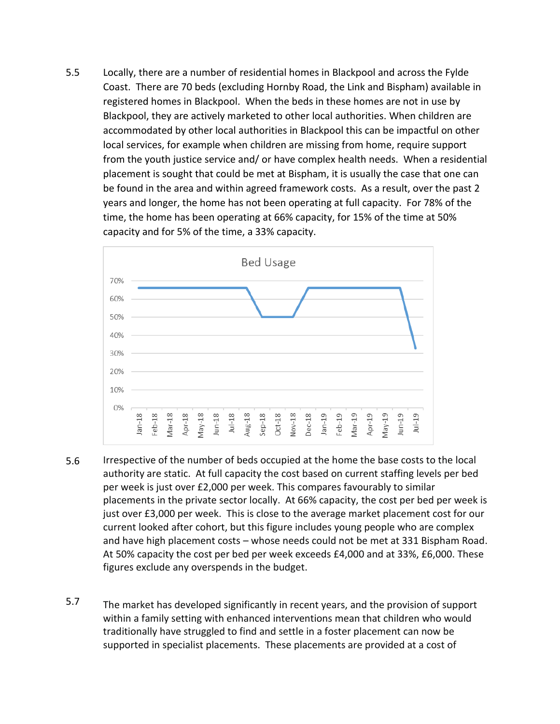5.5 Locally, there are a number of residential homes in Blackpool and across the Fylde Coast. There are 70 beds (excluding Hornby Road, the Link and Bispham) available in registered homes in Blackpool. When the beds in these homes are not in use by Blackpool, they are actively marketed to other local authorities. When children are accommodated by other local authorities in Blackpool this can be impactful on other local services, for example when children are missing from home, require support from the youth justice service and/ or have complex health needs. When a residential placement is sought that could be met at Bispham, it is usually the case that one can be found in the area and within agreed framework costs. As a result, over the past 2 years and longer, the home has not been operating at full capacity. For 78% of the time, the home has been operating at 66% capacity, for 15% of the time at 50% capacity and for 5% of the time, a 33% capacity.



- 5.6 Irrespective of the number of beds occupied at the home the base costs to the local authority are static. At full capacity the cost based on current staffing levels per bed per week is just over £2,000 per week. This compares favourably to similar placements in the private sector locally. At 66% capacity, the cost per bed per week is just over £3,000 per week. This is close to the average market placement cost for our current looked after cohort, but this figure includes young people who are complex and have high placement costs – whose needs could not be met at 331 Bispham Road. At 50% capacity the cost per bed per week exceeds £4,000 and at 33%, £6,000. These figures exclude any overspends in the budget.
- 5.7 The market has developed significantly in recent years, and the provision of support within a family setting with enhanced interventions mean that children who would traditionally have struggled to find and settle in a foster placement can now be supported in specialist placements. These placements are provided at a cost of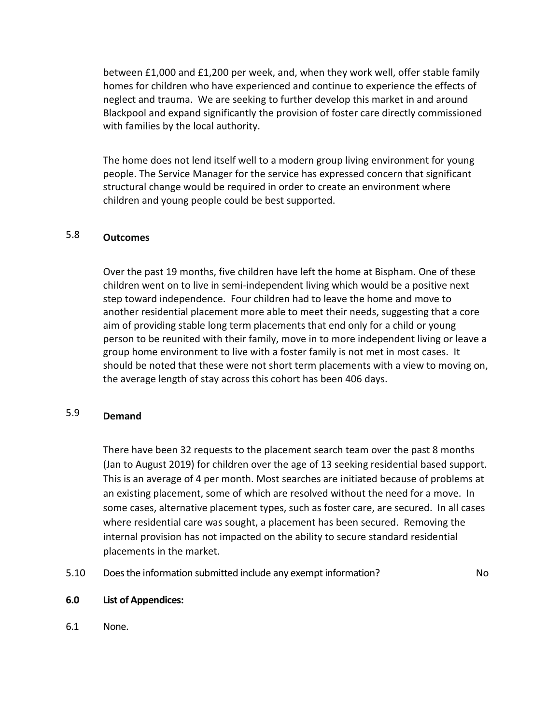between £1,000 and £1,200 per week, and, when they work well, offer stable family homes for children who have experienced and continue to experience the effects of neglect and trauma. We are seeking to further develop this market in and around Blackpool and expand significantly the provision of foster care directly commissioned with families by the local authority.

The home does not lend itself well to a modern group living environment for young people. The Service Manager for the service has expressed concern that significant structural change would be required in order to create an environment where children and young people could be best supported.

# 5.8 **Outcomes**

Over the past 19 months, five children have left the home at Bispham. One of these children went on to live in semi-independent living which would be a positive next step toward independence. Four children had to leave the home and move to another residential placement more able to meet their needs, suggesting that a core aim of providing stable long term placements that end only for a child or young person to be reunited with their family, move in to more independent living or leave a group home environment to live with a foster family is not met in most cases. It should be noted that these were not short term placements with a view to moving on, the average length of stay across this cohort has been 406 days.

# 5.9 **Demand**

There have been 32 requests to the placement search team over the past 8 months (Jan to August 2019) for children over the age of 13 seeking residential based support. This is an average of 4 per month. Most searches are initiated because of problems at an existing placement, some of which are resolved without the need for a move. In some cases, alternative placement types, such as foster care, are secured. In all cases where residential care was sought, a placement has been secured. Removing the internal provision has not impacted on the ability to secure standard residential placements in the market.

5.10 Does the information submitted include any exempt information? No

#### **6.0 List of Appendices:**

6.1 None.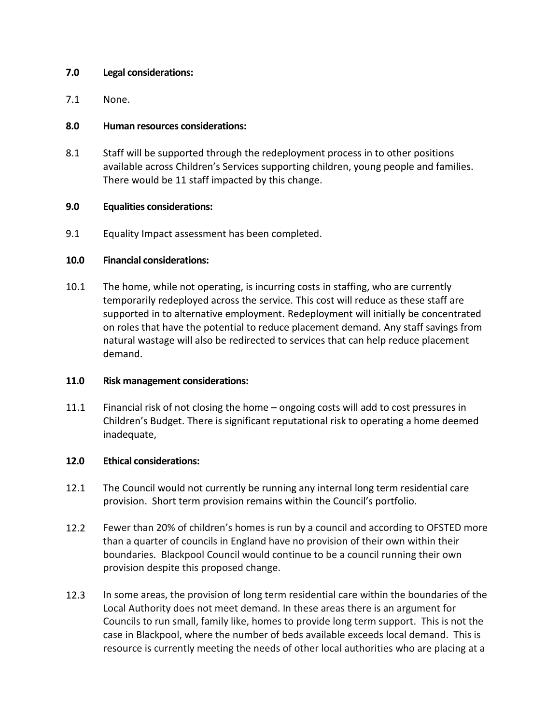#### **7.0 Legal considerations:**

7.1 None.

#### **8.0 Human resources considerations:**

8.1 Staff will be supported through the redeployment process in to other positions available across Children's Services supporting children, young people and families. There would be 11 staff impacted by this change.

#### **9.0 Equalities considerations:**

9.1 Equality Impact assessment has been completed.

#### **10.0 Financial considerations:**

10.1 The home, while not operating, is incurring costs in staffing, who are currently temporarily redeployed across the service. This cost will reduce as these staff are supported in to alternative employment. Redeployment will initially be concentrated on roles that have the potential to reduce placement demand. Any staff savings from natural wastage will also be redirected to services that can help reduce placement demand.

#### **11.0 Risk management considerations:**

11.1 Financial risk of not closing the home – ongoing costs will add to cost pressures in Children's Budget. There is significant reputational risk to operating a home deemed inadequate,

#### **12.0 Ethical considerations:**

- 12.1 The Council would not currently be running any internal long term residential care provision. Short term provision remains within the Council's portfolio.
- 12.2 Fewer than 20% of children's homes is run by a council and according to OFSTED more than a quarter of councils in England have no provision of their own within their boundaries. Blackpool Council would continue to be a council running their own provision despite this proposed change.
- 12.3 In some areas, the provision of long term residential care within the boundaries of the Local Authority does not meet demand. In these areas there is an argument for Councils to run small, family like, homes to provide long term support. This is not the case in Blackpool, where the number of beds available exceeds local demand. This is resource is currently meeting the needs of other local authorities who are placing at a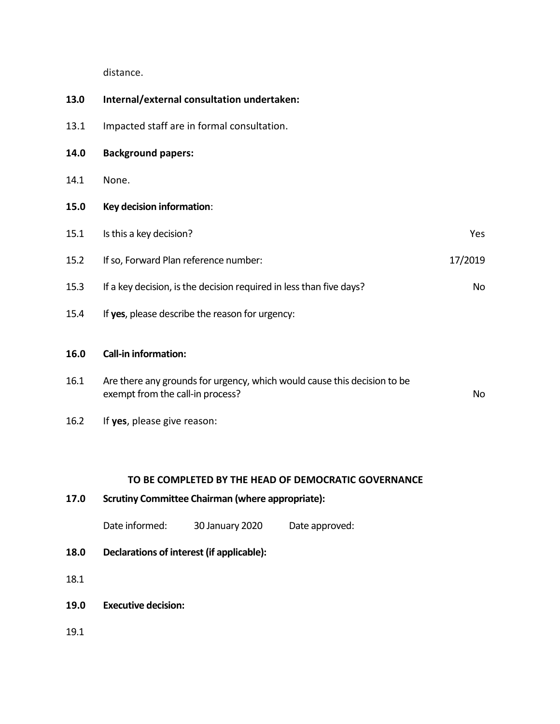distance.

### **13.0 Internal/external consultation undertaken:**

13.1 Impacted staff are in formal consultation.

## **14.0 Background papers:**

14.1 None.

### **15.0 0Key decision information**:

| 16.0 | <b>Call-in information:</b>                                         |         |
|------|---------------------------------------------------------------------|---------|
| 15.4 | If yes, please describe the reason for urgency:                     |         |
| 15.3 | If a key decision, is the decision required in less than five days? | No      |
| 15.2 | If so, Forward Plan reference number:                               | 17/2019 |
| 15.1 | Is this a key decision?                                             | Yes     |

- 16.1 Are there any grounds for urgency, which would cause this decision to be exempt from the call-in process? No
- 16.2 If **yes**, please give reason:

#### **TO BE COMPLETED BY THE HEAD OF DEMOCRATIC GOVERNANCE**

| 17.0 | <b>Scrutiny Committee Chairman (where appropriate):</b> |                 |                |  |  |
|------|---------------------------------------------------------|-----------------|----------------|--|--|
|      | Date informed:                                          | 30 January 2020 | Date approved: |  |  |
| 18.0 | Declarations of interest (if applicable):               |                 |                |  |  |
| 18.1 |                                                         |                 |                |  |  |
| 19.0 | <b>Executive decision:</b>                              |                 |                |  |  |
|      |                                                         |                 |                |  |  |

19.1